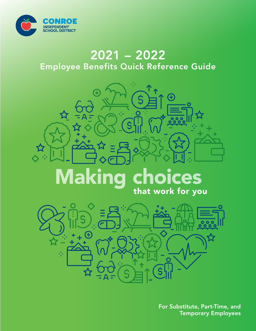

## 2021 – 2022 2021 – 2022Employee Benefits Quick Reference Guide





For Substitute, Part-Time, and Temporary Employees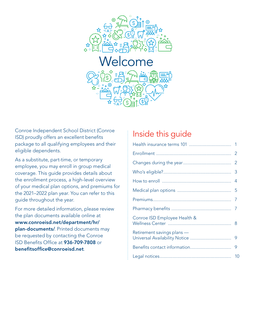



Conroe Independent School District (Conroe ISD) proudly offers an excellent benefits package to all qualifying employees and their eligible dependents.

As a substitute, part-time, or temporary employee, you may enroll in group medical coverage. This guide provides details about the enrollment process, a high-level overview of your medical plan options, and premiums for the 2021–2022 plan year. You can refer to this guide throughout the year.

For more detailed information, please review the plan documents available online at www.conroeisd.net/department/hr/ [plan-documents/](http://www.conroeisd.net/department/hr/plan-documents/). Printed documents may be requested by contacting the Conroe ISD Benefits Office at 936-709-7808 or benefitsoffice@conroeisd.net.

## Inside this guide

|                              | 4 |
|------------------------------|---|
|                              | 5 |
|                              | 7 |
|                              | 7 |
| Conroe ISD Employee Health & |   |
| Retirement savings plans -   |   |
|                              | 9 |
|                              |   |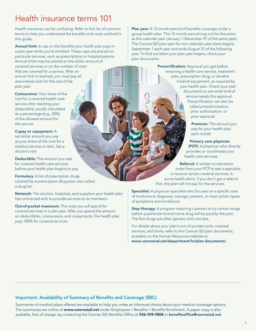## <span id="page-2-0"></span>Health insurance terms 101

Health insurance can be confusing. Refer to this list of common terms to help you understand the benefits and costs outlined in this guide.

Annual limit: A cap on the benefits your health plan pays in a plan year while you're enrolled. These caps are placed on particular services, such as prescriptions or hospitalizations. Annual limits may be placed on the dollar amount of covered services or on the number of visits that are covered for a service. After an annual limit is reached, you must pay all associated costs for the rest of the plan year.

Coinsurance: Your share of the cost for a covered health care service after reaching your deductible; usually calculated as a percentage (e.g., 20%) of the allowed amount for the service.

Copay or copayment: A set dollar amount you pay as your share of the cost for a medical service or item, like a doctor's visit.

Deductible: The amount you owe for covered health care services before your health plan begins to pay.

Formulary: A list of prescription drugs covered by a prescription drug plan; also called a drug list.

Network: The doctors, hospitals, and suppliers your health plan has contracted with to provide services to its members.

Out-of-pocket maximum: The most you will spend for covered services in a plan year. After you spend this amount on deductibles, coinsurance, and copayments, the health plan pays 100% for covered services.

Plan year: A 12-month period of benefits coverage under a group health plan. This 12-month period may not be the same as the calendar year (January 1-December 31 of the same year). The Conroe ISD plan year for non-calendar-year plans begins September 1 each year and ends August 31 of the following year. To find out when your plan year begins, check your plan documents.

> Precertification: Approval you get before receiving a health care service, treatment plan, prescription drug, or durable medical equipment, as required by your health plan. Check your plan documents to see what kind of service needs this approval. Precertification can also be called preauthorization, prior authorization, or prior approval.

> > Premium: The amount you pay for your health plan each month.

Primary care physician (PCP): A physician who directly provides or coordinates your health care services.

Referral: A written or electronic order from your PCP to see a specialist or receive certain medical services. In some health plans, if you don't get a referral first, the plan will not pay for the services.

Specialist: A physician specialist who focuses on a specific area of medicine to diagnose, manage, prevent, or treat certain types of symptoms and conditions.

Step therapy: A program requiring a person to try certain drugs before a particular brand-name drug will be paid by the plan. The first drugs are often generic and cost less.

For details about your plan's out-of-pocket costs, covered services, and limits, refer to the Conroe ISD plan documents, available on the Human Resources website at [www.conroeisd.net/department/hr/plan-documents/](http://www.conroeisd.net/department/hr/plan-documents/).

## Important: Availability of Summary of Benefits and Coverage (SBC)

Summaries of medical plans offered are available to help you make an informed choice about your medical coverage options. The summaries are online at www.conroeisd.net under Employees > Benefits > Benefits Enrollment. A paper copy is also available, free of charge, by contacting the Conroe ISD Benefits Office at 936-709-7808 or benefitsoffice@conroeisd.net.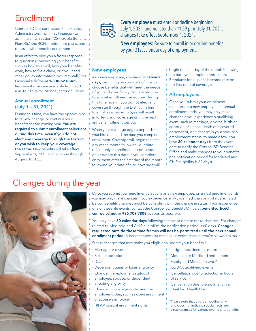## <span id="page-3-0"></span>Enrollment

Conroe ISD has contracted First Financial Administrators, Inc. (First Financial) to administer its Section 125 Flexible Benefits Plan, 457 and 403(b) retirement plans, and to assist with benefits enrollment.

In an effort to give you a faster response to questions concerning your benefits, such as how to enroll, how your benefits work, how to file a claim, or if you need other policy information, you may call First Financial toll-free at 1-800-523-8422. Representatives are available from 8:00 a.m. to 5:00 p.m., Monday through Friday.

### Annual enrollment (July 1 – 31, 2021)

During this time, you have the opportunity to review, change, or continue your benefits for the coming year. You are required to submit enrollment selections during this time, even if you do not elect any coverage through the District, or you wish to keep your coverage the same. New benefits will take effect September 1, 2021, and continue through August 31, 2022.



**Every employee** must enroll or decline beginning July 1, 2021, and no later than 11:59 p.m. July 31, 2021; changes take effect September 1, 2021.

**New employees:** Be sure to enroll in or decline benefits by your 31st calendar day of employment.

### New employees

 choose benefits that will meet the needs to enroll as a new employee will result As a new employee, you have 31 calendar days, beginning on your date of hire, to of you and your family. You are required to submit enrollment selections during this time, even if you do not elect any coverage through the District. Failure in forfeiture of coverage until the next annual enrollment period.

 of hire only if enrollment is completed When your coverage begins depends on your hire date and the date you complete enrollment. Coverage will begin the first day of the month following your date on or before this date. If you complete enrollment after the first day of the month following your date of hire, coverage will

begin the first day of the month following the date you complete enrollment. Premiums for all plans become due on the first date of coverage.

### All employees

 changes if you experience a qualifying Once you submit your enrollment elections as a new employee, or annual enrollment ends, you may only make event, such as marriage, divorce, birth or adoption of a child, death of a covered dependent, or a change in your spouse's employment status, to name a few. You have 30 calendar days from the event date to notify the Conroe ISD Benefits Office and make changes to your benefits (the notification period for Medicaid and CHIP eligibility is 60 days).

## Changes during the year



Once you submit your enrollment elections as a new employee, or annual enrollment ends, you may only make changes if you experience an IRS-defined change in status as listed below. Benefits changes must be consistent with the change in status. If you experience one of these life events, contact the Conroe ISD Benefits Office at benefitsoffice@ [conroeisd.net](mailto:benefitsoffice@conroeisd.net) or 936-709-7808 as soon as possible.

You only have 30 calendar days following the event date to make changes. For changes related to Medicaid and CHIP eligibility, the notification period is 60 days. Changes requested outside these time frames will not be permitted until the next annual enrollment period. A benefits specialist can explain which changes you're allowed to make.

Status changes that may make you eligible to update your benefits:\*

- · Marriage or divorce
- Birth or adoption
- **Death**
- · Dependent gains or loses eligibility
- Change in employment status of employee, spouse, or dependent affecting eligibility
- Change in coverage under another employer's plan, such as open enrollment of spouse's employer
- HIPAA special enrollment rights
- · Judgments, decrees, or orders
- Medicare or Medicaid entitlement
- Family and Medical Leave Act
- COBRA qualifying events
- · Cancellation due to reduction in hours of service
- Cancellation due to enrollment in a Qualified Health Plan

\*Please note that this is an outline only and does not indicate special facts and circumstances for various events and benefits.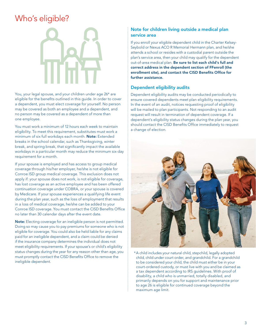## <span id="page-4-0"></span>Who's eligible?



You, your legal spouse, and your children under age 26\* are eligible for the benefits outlined in this guide. In order to cover a dependent, you must elect coverage for yourself. No person may be covered as both an employee and a dependent, and no person may be covered as a dependent of more than one employee.

You must work a minimum of 12 hours each week to maintain eligibility. To meet this requirement, substitutes must work a minimum of six full workdays each month. Note: Extended breaks in the school calendar, such as Thanksgiving, winter break, and spring break, that significantly impact the available workdays in a particular month may reduce the minimum six-day requirement for a month.

If your spouse is employed and has access to group medical coverage through his/her employer, he/she is not eligible for Conroe ISD group medical coverage. This exclusion does not apply if: your spouse does not work, is not eligible for coverage, has lost coverage as an active employee and has been offered continuation coverage under COBRA, or your spouse is covered by Medicare. If your spouse experiences a qualifying life event during the plan year, such as the loss of employment that results in a loss of medical coverage, he/she can be added to your Conroe ISD coverage. You must contact the CISD Benefits Office no later than 30 calendar days after the event date.

Note: Electing coverage for an ineligible person is not permitted. Doing so may cause you to pay premiums for someone who is not eligible for coverage. You could also be held liable for any claims paid for an ineligible dependent, and a claim could be denied if the insurance company determines the individual does not meet eligibility requirements. If your spouse's or child's eligibility status changes during the year for any reason other than age, you must promptly contact the CISD Benefits Office to remove the ineligible dependent.

### Note for children living outside a medical plan service area

If you enroll your eligible dependent child in the Charter Kelsey-Seybold or Nexus ACO R Memorial Hermann plan, and he/she attends a school or resides with a custodial parent outside the plan's service area, then your child may qualify for the dependent out-of-area medical plan. Be sure to list each child's full and correct address in the dependent section of FFenroll (the enrollment site), and contact the CISD Benefits Office for further assistance.

## Dependent eligibility audits

Dependent eligibility audits may be conducted periodically to ensure covered dependents meet plan eligibility requirements. In the event of an audit, notices requesting proof of eligibility will be mailed to plan participants. Not responding to an audit request will result in termination of dependent coverage. If a dependent's eligibility status changes during the plan year, you should contact the CISD Benefits Office immediately to request a change of election.



 child, child under court order, and grandchild. For a grandchild \*A child includes your natural child, stepchild, legally adopted to be considered your child, the child must either be in your court-ordered custody, or must live with you and be claimed as a tax dependent according to IRS guidelines. With proof of disability, a child who is unmarried, totally disabled, and primarily depends on you for support and maintenance prior to age 26 is eligible for continued coverage beyond the maximum age limit.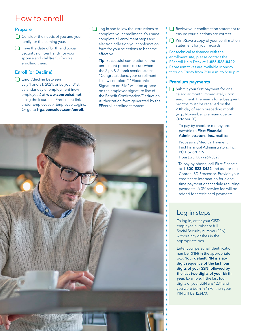## <span id="page-5-0"></span>How to enroll

### Prepare

Consider the needs of you and your family for the coming year.

Have the date of birth and Social Security number handy for your spouse and child(ren), if you're enrolling them.

## Enroll (or Decline)

 Enroll/decline between July 1 and 31, 2021, or by your 31st calendar day of employment (new employees) at www.conroeisd.net using the Insurance Enrollment link under Employees > Employee Logins. Or go to [ffga.benselect.com/enroll](http://ffga.benselect.com/enroll).

**Q** Log in and follow the instructions to complete your enrollment. You must complete all enrollment steps and electronically sign your confirmation form for your selections to become effective.

**Tip:** Successful completion of the enrollment process occurs when the Sign & Submit section states, "Congratulations, your enrollment is now complete." "Electronic Signature on File" will also appear on the employee signature line of the Benefit Confirmation/Deduction Authorization form generated by the FFenroll enrollment system.



- Review your confirmation statement to ensure your elections are correct.
- Print/Save a copy of your confirmation statement for your records.

For technical assistance with the enrollment site, please contact the FFenroll Help Desk at 1-855-523-8422. Representatives are available Monday through Friday from 7:00 a.m. to 5:00 p.m.

### Premium payments

- Submit your first payment for one calendar month immediately upon enrollment. Premiums for subsequent months must be received by the 20th day of each preceding month (e.g., November premium due by October 20).
	- To pay by check or money order payable to First Financial Administrators, Inc., mail to:
	- Processing/Medical Payment First Financial Administrators, Inc. PO Box 670329 Houston, TX 77267-0329
	- To pay by phone, call First Financial at 1-800-523-8422 and ask for the Conroe ISD Processor. Provide your credit card information for a onetime payment or schedule recurring payments. A 3% service fee will be added for credit card payments.

## Log-in steps

To log in, enter your CISD employee number or full Social Security number (SSN) without any dashes in the appropriate box.

Enter your personal identification number (PIN) in the appropriate box. Your default PIN is a sixdigit sequence of the last four digits of your SSN followed by the last two digits of your birth year. Example: If the last four digits of your SSN are 1234 and you were born in 1970, then your PIN will be 123470.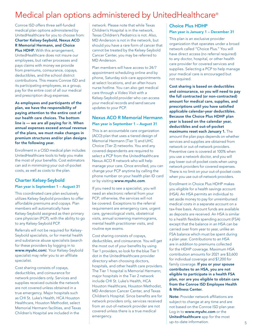## <span id="page-6-0"></span>Medical plan options administered by UnitedHealthcare®

Conroe ISD offers three self-funded medical plan options administered by UnitedHealthcare for you to choose from:

#### Charter Kelsey-Seybold, Nexus ACO R Memorial Hermann, and Choice Plus HDHP. With this arrangement,

UnitedHealthcare does not insure our employees, but rather processes and pays claims with money we provide from premiums, coinsurance, copays, deductibles, and the school district contributions. This means Conroe ISD and its participating employees, as a group, pay for the entire cost of all our medical and prescription drug expenses.

As employees and participants of the plan, we have the responsibility of paying attention to the entire cost of our health care choices. The bottom line is — we are all paying for it. When annual expenses exceed annual revenue of the plans, we must make changes in premium structures and/or plan designs for the following year.

Enrollment in a CISD medical plan includes UnitedHealthcare tools to help you make the most of your benefits. Cost estimators can aid in minimizing your out-of-pocket costs, as well as costs to the plan.

## Charter Kelsey-Seybold Plan year is September 1 – August 31

This coordinated care plan exclusively utilizes Kelsey-Seybold providers to offer affordable premiums and copays. Plan members will automatically have Kelsey-Seybold assigned as their primary care physician (PCP), with the ability to go to any Kelsey-Seybold PCP.

Referrals will not be required for Kelsey-Seybold specialists, or for mental health and substance abuse specialists (search for these providers by logging in to www.myuhc.com). Your Kelsey-Seybold specialist may refer you to an affiliate specialist.

Cost sharing consists of copays, deductibles, and coinsurance for network providers only. Services and supplies received outside the network are not covered unless obtained in a true emergency. Major hospitals such as CHI St. Luke's Health, HCA Houston Healthcare, Houston Methodist, select Memorial Hermann facilities, and Texas Children's Hospital are included in the

network. Please note that while Texas Children's Hospital is in the network, Texas Children's Pediatrics is not. Also, MD Anderson is not in the network, but should you have a rare form of cancer that cannot be treated by the Kelsey-Seybold Cancer Center, you may be referred to MD Anderson.

Plan members will have access to 24/7 appointment scheduling online and by phone, Saturday sick-care appointments at select locations, and an after-hours nurse hotline. You can also get medical care through a Video Visit with a Kelsey-Seybold provider who can access your medical records and send secure updates to your PCP.

### Nexus ACO R Memorial Hermann Plan year is September 1 – August 31

This is an accountable care organization (ACO) plan that uses a tiered design of Memorial Hermann (Tier 1) and UHC Choice (Tier 2) networks. You and any covered dependents are required to select a PCP from the UnitedHealthcare Nexus ACO R network who will help manage your care. Once enrolled, you can change your PCP anytime by calling the phone number on your health plan ID card or by visiting www.myuhc.com.

If you need to see a specialist, you will need an electronic referral from your PCP; otherwise, the services will not be covered. Exceptions to the referral requirement are emergency care, urgent care, gynecological visits, obstetrical visits, annual screening mammograms, mental health practitioner visits, and routine eye exams.

 Houston Healthcare, Houston Methodist, Cost sharing consists of copays, deductibles, and coinsurance. You will get the most out of your benefits by using Tier 1 providers, so look for the blue Tier 1 dot in the UnitedHealthcare provider directory when choosing doctors, hospitals, and other health care providers. The Tier 1 hospital is Memorial Hermann; major hospitals in the Tier 2 network include CHI St. Luke's Health, HCA MD Anderson Cancer Center, and Texas Children's Hospital. Since benefits are for network providers only, services received from an out-of-network provider are not covered unless there is a true medical emergency.

### Choice Plus HDHP Plan year is January 1 – December 31

This plan is an exclusive provider organization that operates under a broad network called "Choice Plus." You will have direct access (no referral required) to any doctor, hospital, or other health care provider for covered services and supplies. Selecting a PCP to help manage your medical care is encouraged but not required.

Cost sharing is based on deductibles and coinsurance, so you will need to pay the full contracted (or non-contracted) amount for medical care, supplies, and prescriptions until you have satisfied applicable calendar-year deductibles. Because the Choice Plus HDHP plan year is based on the calendar year, deductibles and out-of-pocket maximums reset each January 1. The amount the plan pays depends on whether services and supplies are obtained from network or out-of-network providers. Preventive care is covered at 100% when you use a network doctor, and you will pay lower out-of-pocket costs when using network providers for covered expenses. There is no limit on your out-of-pocket costs when you use out-of-network providers.

Enrollment in Choice Plus HDHP makes you eligible for a health savings account (HSA). An HSA permits an individual to set aside money to pay for unreimbursed medical costs in a separate account on a tax-free basis. Account funds are available as deposits are received. An HSA is similar to a health flexible spending account (FSA) except that the balance in an HSA can be carried over from year to year, unlike an FSA balance which must be spent during a plan year. Contributions to an HSA are in addition to premiums collected for the HDHP coverage. Maximum HSA contribution amounts for 2021 are \$3,600 for individual coverage and \$7,200 for family coverage. If you or your spouse contributes to an HSA, you are not eligible to participate in a health FSA plan, nor are you eligible to obtain care from the Conroe ISD Employee Health & Wellness Center.

Note: Provider network affiliations are subject to change at any time and are not based on the Conroe ISD plan year. Log in to www.myuhc.com or the UnitedHealthcare app for the most up-to-date information.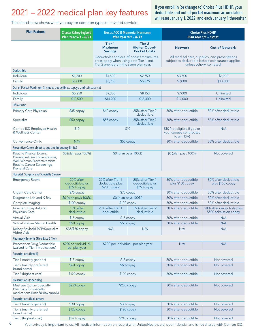# 2021 – 2022 medical plan key features deductible and out-of-pocket maximum accumulators<br>will reset January 1, 2022, and each January 1 thereafter.

The chart below shows what you pay for common types of covered services.

If you enroll in (or change to) Choice Plus HDHP, your deductible and out-of-pocket maximum accumulators

| <b>Plan Features</b>                                                                                                                             | <b>Charter Kelsey-Seybold</b><br>Plan Year 9/1 - 8/31 | <b>Nexus ACO R Memorial Hermann</b><br>Plan Year 9/1 - 8/31                                                                 |                                                        | <b>Choice Plus HDHP</b><br>Plan Year 1/1 - 12/31                                                                              |                                                    |
|--------------------------------------------------------------------------------------------------------------------------------------------------|-------------------------------------------------------|-----------------------------------------------------------------------------------------------------------------------------|--------------------------------------------------------|-------------------------------------------------------------------------------------------------------------------------------|----------------------------------------------------|
|                                                                                                                                                  |                                                       | Tier 1<br><b>Maximum</b><br><b>Savings</b>                                                                                  | Tier 2<br><b>Higher Out-of-</b><br><b>Pocket Costs</b> | <b>Network</b>                                                                                                                | <b>Out of Network</b>                              |
|                                                                                                                                                  |                                                       | Deductibles and out-of-pocket maximums<br>cross-apply when using both Tier 1 and<br>Tier 2 providers in the same plan year. |                                                        | All medical care, supplies, and prescriptions<br>subject to deductible before coinsurance applies,<br>unless otherwise noted. |                                                    |
| <b>Deductible</b>                                                                                                                                |                                                       |                                                                                                                             |                                                        |                                                                                                                               |                                                    |
| Individual                                                                                                                                       | \$1,200                                               | \$1,500                                                                                                                     | \$2,750                                                | \$3,500                                                                                                                       | \$6,900                                            |
| Family                                                                                                                                           | \$3,000                                               | \$3,750                                                                                                                     | \$6,875                                                | \$7,000                                                                                                                       | \$13,800                                           |
| Out-of-Pocket Maximum (includes deductibles, copays, and coinsurance)                                                                            |                                                       |                                                                                                                             |                                                        |                                                                                                                               |                                                    |
| Individual                                                                                                                                       | \$6,250                                               | \$7,350                                                                                                                     | \$8,150                                                | \$7,000                                                                                                                       | Unlimited                                          |
| Family                                                                                                                                           | \$12,500                                              | \$14,700                                                                                                                    | \$16,300                                               | \$14,000                                                                                                                      | Unlimited                                          |
| <b>Office Visit</b>                                                                                                                              |                                                       |                                                                                                                             |                                                        |                                                                                                                               |                                                    |
| Primary Care Physician                                                                                                                           | $$35$ copay                                           | \$40 copay                                                                                                                  | 35% after Tier 2<br>deductible                         | 30% after deductible                                                                                                          | 50% after deductible                               |
| Specialist                                                                                                                                       | $$50$ copay                                           | $$55$ copay                                                                                                                 | 35% after Tier 2<br>deductible                         | 30% after deductible                                                                                                          | 50% after deductible                               |
| Conroe ISD Employee Health<br>& Wellness Center                                                                                                  | \$10                                                  |                                                                                                                             | \$10                                                   | \$10 (not eligible if you or<br>your spouse contributes<br>to an HSA)                                                         | N/A                                                |
| <b>Convenience Clinic</b>                                                                                                                        | N/A                                                   |                                                                                                                             | \$55 copay                                             | 30% after deductible                                                                                                          | 50% after deductible                               |
| Preventive Care (subject to age and frequency limits)                                                                                            |                                                       |                                                                                                                             |                                                        |                                                                                                                               |                                                    |
| Routine Physical Exams,<br>Preventive Care Immunizations,<br>Well-Woman Preventive Visits,<br>Routine Cancer Screenings,<br><b>Prenatal Care</b> | \$0 (plan pays 100%)                                  | \$0 (plan pays 100%)                                                                                                        |                                                        | \$0 (plan pays 100%)                                                                                                          | Not covered                                        |
| <b>Hospital, Surgery, and Specialty Service</b>                                                                                                  |                                                       |                                                                                                                             |                                                        |                                                                                                                               |                                                    |
| <b>Emergency Room</b>                                                                                                                            | 20% after<br>deductible plus<br>$$250$ copay          | 20% after Tier 1<br>deductible plus<br>$$250$ copay                                                                         | 20% after Tier 1<br>deductible plus<br>$$250$ copay    | 30% after deductible<br>plus \$150 copay                                                                                      | 30% after deductible<br>plus \$150 copay           |
| <b>Urgent Care Center</b>                                                                                                                        | \$75 copay                                            |                                                                                                                             | \$75 copay                                             | 30% after deductible                                                                                                          | 50% after deductible                               |
| Diagnostic Lab and X-Ray                                                                                                                         | \$0 (plan pays 100%)                                  |                                                                                                                             | \$0 (plan pays 100%)                                   | 30% after deductible                                                                                                          | 50% after deductible                               |
| Complex Imaging                                                                                                                                  | $$100$ copay                                          |                                                                                                                             | $$100$ copay                                           | 30% after deductible                                                                                                          | 50% after deductible                               |
| Inpatient Hospital and<br><b>Physician Care</b>                                                                                                  | 10% after<br>deductible                               | 20% after Tier 1<br>deductible                                                                                              | 35% after Tier 2<br>deductible                         | 30% after deductible                                                                                                          | 50% after deductible plus<br>\$500 admission copay |
| <b>Virtual Visit</b>                                                                                                                             | $$15$ copay                                           |                                                                                                                             | $$15$ copay                                            | 30% after deductible                                                                                                          | N/A                                                |
| Virtual Visit - Mental Health                                                                                                                    | \$50 copay                                            |                                                                                                                             | \$55 copay                                             | 30% after deductible                                                                                                          | N/A                                                |
| Kelsey-Seybold PCP/Specialist<br><b>Video Visit</b>                                                                                              | \$35/\$50 copay                                       | N/A<br>N/A                                                                                                                  |                                                        | N/A                                                                                                                           | N/A                                                |
| <b>Pharmacy Benefits (Flex Base 3-Tier)</b>                                                                                                      |                                                       |                                                                                                                             |                                                        |                                                                                                                               |                                                    |
| Prescription Drug Deductible<br>(waived for Tier 1 medications)                                                                                  | \$200 per individual,<br>per plan year                |                                                                                                                             | \$200 per individual, per plan year                    | N/A                                                                                                                           | N/A                                                |
| <b>Prescriptions (Retail)</b>                                                                                                                    |                                                       |                                                                                                                             |                                                        |                                                                                                                               |                                                    |
| Tier 1 (mostly generic)                                                                                                                          | $$15$ copay                                           |                                                                                                                             | \$15 copay                                             | 30% after deductible                                                                                                          | Not covered                                        |
| Tier 2 (mainly preferred<br>brand name)                                                                                                          | $$60$ copay                                           | \$60 copay                                                                                                                  |                                                        | 30% after deductible                                                                                                          | Not covered                                        |
| Tier 3 (highest cost)                                                                                                                            | $$120$ copay                                          |                                                                                                                             | $$120$ copay                                           | 30% after deductible                                                                                                          | Not covered                                        |
| <b>Prescriptions (Specialty)</b>                                                                                                                 |                                                       |                                                                                                                             |                                                        |                                                                                                                               |                                                    |
| Must use Optum Specialty<br>Pharmacy for specialty<br>medications (limit 30-day supply)                                                          | \$250 copay                                           | $$250$ copay                                                                                                                |                                                        | 30% after deductible                                                                                                          | Not covered                                        |
| <b>Prescriptions (Mail order)</b>                                                                                                                |                                                       |                                                                                                                             |                                                        |                                                                                                                               |                                                    |
| Tier 1 (mostly generic)                                                                                                                          | $$30$ copay                                           |                                                                                                                             | $$30$ copay                                            | 30% after deductible                                                                                                          | Not covered                                        |
| Tier 2 (mainly preferred<br>brand name)                                                                                                          | $$120$ copay                                          | $$120$ copay                                                                                                                |                                                        | 30% after deductible                                                                                                          | Not covered                                        |
| Tier 3 (highest cost)                                                                                                                            | \$240 copay                                           | \$240 copay                                                                                                                 |                                                        | 30% after deductible                                                                                                          | Not covered                                        |

6

Your privacy is important to us. All medical information on record with UnitedHealthcare is confidential and is not shared with Conroe ISD. 6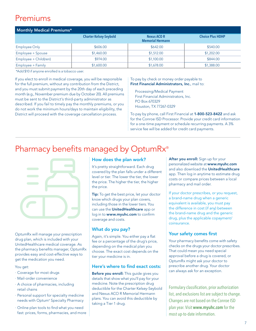## <span id="page-8-0"></span>Premiums

| Monthly Medical Premiums* |                               |                                               |                         |  |
|---------------------------|-------------------------------|-----------------------------------------------|-------------------------|--|
|                           | <b>Charter Kelsey-Seybold</b> | <b>Nexus ACO R</b><br><b>Memorial Hermann</b> | <b>Choice Plus HDHP</b> |  |
| Employee Only             | \$606.00                      | \$642.00                                      | \$540.00                |  |
| Employee + Spouse         | \$1,460.00                    | \$1,512.00                                    | \$1,202.00              |  |
| Employee + Child(ren)     | \$974.00                      | \$1,100.00                                    | \$844.00                |  |
| Employee + Family         | \$1,600.00                    | \$1,678.00                                    | \$1,388.00              |  |

\*Add \$10 if anyone enrolled is a tobacco user.

If you elect to enroll in medical coverage, you will be responsible for the full premium, without any contribution from the District, and you must submit payment by the 20th day of each preceding month (e.g., November premium due by October 20). All premiums must be sent to the District's third-party administrator as described. If you fail to timely pay the monthly premiums, or you do not work the minimum hours/days to maintain eligibility, the District will proceed with the coverage cancellation process.

#### To pay by check or money order payable to First Financial Administrators, Inc., mail to:

Processing/Medical Payment First Financial Administrators, Inc. PO Box 670329 Houston, TX 77267-0329

To pay by phone, call First Financial at 1-800-523-8422 and ask for the Conroe ISD Processor. Provide your credit card information for a one-time payment or schedule recurring payments. A 3% service fee will be added for credit card payments.

## Pharmacy benefits managed by OptumRx®



OptumRx will manage your prescription drug plan, which is included with your UnitedHealthcare medical coverage. As the pharmacy benefits manager, OptumRx provides easy and cost-effective ways to get the medication you need.

#### You get:

- · Coverage for most drugs
- · Mail-order convenience
- · A choice of pharmacies, including retail chains
- · Personal support for specialty medicine needs with Optum® Specialty Pharmacy
- · Online plan tools to find what you need fast: prices, forms, pharmacies, and more

#### How does the plan work?

 the price. The higher the tier, the higher It's pretty straightforward. Each drug covered by the plan falls under a different level or tier. The lower the tier, the lower the price.

Tip: To get the best price, let your doctor know which drugs your plan covers, including those in the lower tiers. You can use the **UnitedHealthcare** app or log in to **www.myuhc.com** to confirm coverage and costs.

## What do you pay?

Again, it's simple. You either pay a flat fee or a percentage of the drug's price, depending on the medical plan you choose. The exact cost depends on the tier your medicine is in.

### Here's where to find exact costs:

Before you enroll: This guide gives you details that show what you'll pay for your medicine. Note the prescription drug deductible for the Charter Kelsey-Seybold and Nexus ACO R Memorial Hermann plans. You can avoid this deductible by taking a Tier 1 drug.

After you enroll: Sign up for your personalized website at www.myuhc.com and also download the UnitedHealthcare app. Then log in anytime to estimate drug costs or compare prices between a local pharmacy and mail order.

If your doctor prescribes, or you request, a brand-name drug when a generic equivalent is available, you must pay the difference in cost (if any) between the brand-name drug and the generic drug, plus the applicable copayment/ coinsurance.

## Your safety comes first

Your pharmacy benefits come with safety checks on the drugs your doctor prescribes. That could mean you need special approval before a drug is covered, or OptumRx might ask your doctor to prescribe another drug. Your doctor can always ask for an exception.

Formulary classification, prior authorization list, and exclusions list are subject to change. Changes are not based on the Conroe ISD plan year. Visit **www.myuhc.com** for the most up-to-date information.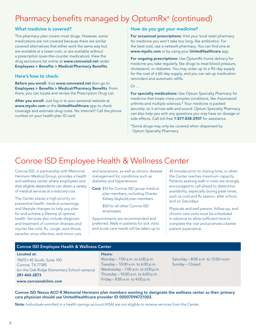## <span id="page-9-0"></span>Pharmacy benefits managed by OptumRx® (continued)

### What medicine is covered?

This pharmacy plan covers most drugs. However, some medications are not covered because there are similar covered alternatives that either work the same way but are available at a lower cost, or are available without a prescription (over-the-counter medication). View the drug exclusions list online at www.conroeisd.net under Employees > Benefits > Medical/Pharmacy Benefits.

#### Here's how to check:

Before you enroll: Visit www.conroeisd.net then go to Employees > Benefits > Medical/Pharmacy Benefits. From there, you can locate and review the Prescription Drug List.

After you enroll: Just log in to your personal website at www.myuhc.com or the UnitedHealthcare app to check coverage and estimate drug costs. No Internet? Call the phone number on your health plan ID card.

### How do you get your medicine?

For occasional prescriptions: Visit your local retail pharmacy for medicine you won't take too long, like antibiotics. For the best cost, use a network pharmacy. You can find one at www.myuhc.com or by using your UnitedHealthcare app.

For ongoing prescriptions: Use OptumRx home delivery for medicine you take regularly, like drugs to treat blood pressure, cholesterol, or diabetes. You may order up to a 90-day supply for the cost of a 60-day supply, and you can set up medication reminders and automatic refills.

Or …

For specialty medications: Use Optum Specialty Pharmacy for medicine that treats more complex conditions, like rheumatoid arthritis and multiple sclerosis.\* Your medicine is packed securely, so it arrives safe and sound. Optum Specialty Pharmacy can also help you with any questions you may have on dosage or side effects. Call toll-free 1-877-838-2907 for assistance.

\*Some drugs may only be covered when dispensed by Optum Specialty Pharmacy.

## Conroe ISD Employee Health & Wellness Center

Conroe ISD, in partnership with Memorial Hermann Medical Group, provides a health and wellness center where employees and their eligible dependents can obtain a variety of medical services at a reduced cost.

The Center places a high priority on preventive health, medical screenings, and lifestyle changes to help you plan for and achieve a lifetime of optimal health. Services also include diagnosis and treatment of common illnesses and injuries like cold, flu, cough, sore throat, earache, sinus infection, and minor cuts and lacerations, as well as chronic disease management for conditions such as diabetes and hypertension.

**Cost:** \$10 for Conroe ISD group medical plan members, including Charter Kelsey-Seybold plan members

> \$50 for all other Conroe ISD employees

Appointments are recommended and preferred. Walk-in patients for sick visits and acute care needs will be taken up to 45 minutes prior to closing time, or when the Center reaches maximum capacity. Patients seeking walk-in visits are strongly encouraged to call ahead to determine availability, especially during peak times, such as cold and flu season, after school, and on Saturdays.

Physicals and well-person, follow-up, and chronic care visits must be scheduled in advance to allow sufficient time to complete the visit and promote a better patient experience.

#### Conroe ISD Employee Health & Wellness Center

#### Located at:

19675 I-45 South, Suite 100 Conroe, TX 77385 (on the Oak Ridge Elementary School campus) 281-465-2873 [www.conroeisdclinic.com](http://www.conroeisdclinic.com) 

Hours: Monday – 7:00 a.m. to 6:00 p.m. Tuesday – 10:00 a.m. to 6:00 p.m. Wednesday – 7:00 a.m. to 6:00 p.m. Thursday – 10:00 a.m. to 6:00 p.m. Friday – 8:00 a.m. to 4:00 p.m.

Saturday – 8:00 a.m. to 12:00 noon Sunday – Closed

Conroe ISD Nexus ACO R Memorial Hermann plan members wanting to designate the wellness center as their primary care physician should use UnitedHealthcare provider ID 00007094721002.

Note: Individuals enrolled in a health savings account (HSA) are not eligible to receive services from the Center.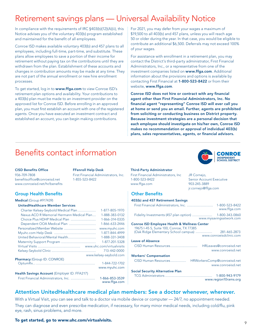## <span id="page-10-0"></span>Retirement savings plans — Universal Availability Notice

In compliance with the requirements of IRC §403(b)(12)(A)(ii), this Notice advises you of the voluntary 403(b) program established and maintained for the benefit of all employees.

Conroe ISD makes available voluntary 403(b) and 457 plans to all employees, including full-time, part-time, and substitute. These plans allow employees to save a portion of their income for retirement without paying tax on the contributions until they are withdrawn from the plan. Establishment of these accounts and changes in contribution amounts may be made at any time. They are not part of the annual enrollment or new hire enrollment processes.

To get started, log in to www.ffga.com to view Conroe ISD's retirement plan options and availability. Your contributions to a 403(b) plan must be made to an investment provider on the approved list for Conroe ISD. Before enrolling in an approved plan, you must first establish an account with one of the registered agents. Once you have executed an investment contract and established an account, you can begin making contributions.

For 2021, you may defer from your wages a maximum of \$19,500 to all 403(b) and 457 plans, unless you will reach age 50 or older during the year. In that case, you would be eligible to contribute an additional \$6,500. Deferrals may not exceed 100% of your wages.

For assistance with enrollment in a retirement plan, you may contact the District's third-party administrator, First Financial Administrators, Inc., or a representative from one of the investment companies listed on www.ffga.com. Additional information about the provisions and options is available by contacting First Financial at 1-800-523-8422 or from their website, www.ffga.com.

Conroe ISD does not hire or contract with any financial agent other than First Financial Administrators, Inc. No financial agent "representing" Conroe ISD will ever call you at home or send you an email. Further, agents are prohibited from soliciting or conducting business on District property. Because investment strategies are a personal decision that each employee should investigate on his/her own, Conroe ISD makes no recommendation or approval of individual 403(b) plans, sales representatives, agents, or financial advisors.

## Benefits contact information



936-709-7808

FFenroll Help Desk

benefitsoffice@conroeisd.net www.conroeisd.net/hr/benefits First Financial Administrators, Inc. 1-855-523-8422

## Group Health Benefits

|  |  | Medical (Group #917439) |
|--|--|-------------------------|
|--|--|-------------------------|

| UnitedHealthcare Member Services |  |  |
|----------------------------------|--|--|
|----------------------------------|--|--|

| Charter Kelsey-Seybold Medical Plan          | 1-877-805-1970                 |
|----------------------------------------------|--------------------------------|
| Nexus ACO R Memorial Hermann Medical Plan    | 1-888-383-0132                 |
|                                              | 1-866-314-0335                 |
| Dependent OOA Medical Plan                   | 1-866-633-2446                 |
|                                              | www.myuhc.com                  |
|                                              | 1-877-844-4999                 |
|                                              | 1-888-331-3408                 |
|                                              | 1-877-201-5328                 |
|                                              |                                |
|                                              | 713-442-0000                   |
|                                              | www.kelsey-seybold.com         |
| <b>Pharmacy (Group ID: CONROE)</b>           |                                |
|                                              | 1-844-722-1702                 |
|                                              | www.myuhc.com                  |
| Health Savings Account (Employer ID: FFA217) |                                |
|                                              | 1-866-853-3539<br>www.ffga.com |



| First Financial Administrators, Inc. | JR Cornejo,                     |
|--------------------------------------|---------------------------------|
| 1-800-523-8422                       | <b>Senior Account Executive</b> |
| www.ffga.com                         | 903-245-3889                    |
|                                      | jr.cornejo@ffga.com             |

### Other Benefits

| 403(b) and 457 Retirement Savings                                                 |                                                  |
|-----------------------------------------------------------------------------------|--------------------------------------------------|
|                                                                                   | www.ffga.com                                     |
| Fidelity Investments (457 plan option)                                            | 1-800-343-0860<br>www.mysavingsatwork.com        |
| <b>Conroe ISD Employee Health &amp; Wellness Center</b>                           |                                                  |
| 19675 I-45 S, Suite 100, Conroe, TX 77385<br>(Oak Ridge Elementary School campus) | 281-465-2873<br>www.conroeisdclinic.com          |
| <b>Leave of Absence</b>                                                           |                                                  |
|                                                                                   | HRLeaves@conroeisd.net<br>www.conroeisd.net      |
| <b>Workers' Compensation</b>                                                      |                                                  |
| CISD Human Resources                                                              | HRWorkersComp@conroeisd.net<br>www.conroeisd.net |
| <b>Social Security Alternative Plan</b>                                           |                                                  |
|                                                                                   | 1-800-943-9179<br>www.region10rams.org           |
|                                                                                   |                                                  |

## Attention UnitedHealthcare medical plan members: See a doctor whenever, wherever.

With a Virtual Visit, you can see and talk to a doctor via mobile device or computer - 24/7, no appointment needed. They can diagnose and even prescribe medication, if necessary, for many minor medical needs, including cold/flu, pink eye, rash, sinus problems, and more.

## To get started, go to www.uhc.com/virtualvisits.  $\frac{1}{9}$

CONROE INDEPENDENT<br>SCHOOL DISTRICT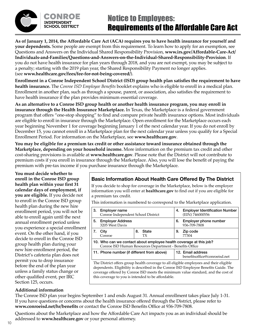<span id="page-11-0"></span>

## Notice to Employees: Requirements of the Affordable Care Act

**As of January 1, 2014, the Affordable Care Act (ACA) requires you to have health insurance for yourself and your dependents.** Some people are exempt from this requirement. To learn how to apply for an exemption, see Questions and Answers on the Individual Shared Responsibility Provision, **[www.irs.gov/Affordable-Care-Act/](http://www.irs.gov/Affordable-Care-Act/Individuals-and-Families/Questions-and-Answers-on-the-Individual-Shared-Responsibility-Provision) [Individuals-and-Families/Questions-and-Answers-on-the-Individual-Shared-Responsibility-Provision](http://www.irs.gov/Affordable-Care-Act/Individuals-and-Families/Questions-and-Answers-on-the-Individual-Shared-Responsibility-Provision)**. If you do not have health insurance for plan years through 2018, and you are not exempt, you may be subject to a penalty; starting with the 2019 plan year, the Shared Responsibility Payment no longer applies. (see **[www.healthcare.gov/fees/fee-for-not-being-covered/](http://www.healthcare.gov/fees/fee-for-not-being-covered/)**).

**Enrollment in a Conroe Independent School District (ISD) group health plan satisfies the requirement to have health insurance.** The *Conroe ISD Employee Benefits* booklet explains who is eligible to enroll in a medical plan. Enrollment in another plan, such as through a spouse, parent, or association, also satisfies the requirement to have health insurance if the plan provides minimum essential coverage.

**As an alternative to a Conroe ISD group health or another health insurance program, you may enroll in insurance through the Health Insurance Marketplace.** In Texas, the Marketplace is a federal government program that offers "one-stop shopping" to find and compare private health insurance options. Most individuals are eligible to enroll in insurance through the Marketplace. Open enrollment for the Marketplace occurs each year beginning November 1 for coverage beginning January 1 of the next calendar year. If you do not enroll by December 15, you cannot enroll in a Marketplace plan for the next calendar year unless you qualify for a Special Enrollment Period. For information on the Marketplace, see **[www.healthcare.gov](http://www.healthcare.gov)**.

**You may be eligible for a premium tax credit or other assistance toward insurance obtained through the Marketplace, depending on your household income.** More information on the premium tax credit and other cost-sharing provisions is available at **[www.healthcare.gov](http://www.healthcare.gov)**. Please note that the District will not contribute to premium costs if you enroll in insurance through the Marketplace. Also, you will lose the benefit of paying the premium with pre-tax income if you purchase insurance through the Marketplace.

**You must decide whether to enroll in the Conroe ISD group health plan within your first 31 calendar days of employment, if you are eligible.** If you decide not to enroll in the Conroe ISD group health plan during the new hire enrollment period, you will not be able to enroll again until the next annual enrollment period unless you experience a special enrollment event. On the other hand, if you decide to enroll in the Conroe ISD group health plan during your new hire enrollment period, the District's cafeteria plan does not permit you to drop insurance before the end of the plan year unless a family status change or other qualified event, per IRC Section 125, occurs.

## **Basic Information About Health Care Offered By The District**

If you decide to shop for coverage in the Marketplace, below is the employer information you will enter at **[healthcare.gov](http://healthcare.gov)** to find out if you are eligible for a premium tax credit.

This information is numbered to correspond to the Marketplace application.

| 3.                                                                                                                                                                            | Employer name<br>Conroe Independent School District |                   | 4.                                    | <b>Employer Identification Number</b><br>(EIN) 746000556 |
|-------------------------------------------------------------------------------------------------------------------------------------------------------------------------------|-----------------------------------------------------|-------------------|---------------------------------------|----------------------------------------------------------|
| 5.<br><b>Employer Address</b><br>3205 West Davis                                                                                                                              |                                                     | 6.                | Employer phone number<br>936-709-7808 |                                                          |
|                                                                                                                                                                               | 7. City<br>Conroe                                   | State<br>8.<br>TХ | 9.                                    | Zip code<br>77304                                        |
| 10. Who can we contact about employee health coverage at this job?<br>Conroe ISD Human Resources Department - Benefits Office                                                 |                                                     |                   |                                       |                                                          |
| 12. Email address<br>11. Phone number (if different from above)<br>benefitsoffice@conroeisd.net                                                                               |                                                     |                   |                                       |                                                          |
| The District offers group health coverage to all eligible employees and their eligible<br>dependents. Eligibility is described in the Conress ICD Employee Reports Cuide, The |                                                     |                   |                                       |                                                          |

dependents. Eligibility is described in the Conroe ISD Employee Benefits Guide. The coverage offered by Conroe ISD meets the minimum value standard, and the cost of this coverage to you is intended to be affordable.

### **Additional information**

The Conroe ISD plan year begins September 1 and ends August 31. Annual enrollment takes place July 1-31. If you have questions or concerns about the health insurance offered through the District, please refer to **[www.conroeisd.net/hr/benefits](http://www.conroeisd.net/hr/benefits)** or contact the Conroe ISD Benefits Office at 936-709-7808.

Questions about the Marketplace and how the Affordable Care Act impacts you as an individual should be addressed to **[www.healthcare.gov](http://www.healthcare.gov)** or your personal attorney. 10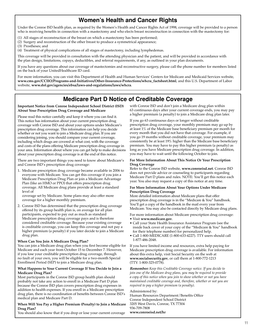## **Women's Health and Cancer Rights**

Under the Conroe ISD health plan, as required by the Women's Health and Cancer Rights Act of 1998, coverage will be provided to a person who is receiving benefits in connection with a mastectomy and who elects breast reconstruction in connection with the mastectomy for:

- (1) All stages of reconstruction of the breast on which a mastectomy has been performed;
- (2) Surgery and reconstruction of the other breast to produce a symmetrical appearance;
- (3) Prostheses; and
- (4) Treatment of physical complications of all stages of mastectomy, including lymphedemas.

This coverage will be provided in consultation with the attending physician and the patient, and will be provided in accordance with the plan design, limitations, copays, deductibles, and referral requirements, if any, as outlined in your plan documents.

If you have any questions about our coverage of mastectomies and reconstructive surgery, please call the phone number for members listed on the back of your UnitedHealthcare ID card.

For more information, you can visit this Department of Health and Human Services' Centers for Medicare and Medicaid Services website, **www.cms.gov/CCIIO/Programs-and-Initiatives/Other-Insurance-Protections/whcra\_factsheet.html**, and this U.S. Department of Labor website, **www.dol.gov/agencies/ebsa/laws-and-regulations/laws/whcra**.

## **Medicare Part D Notice of Creditable Coverage**

**Important Notice from Conroe Independent School District (ISD) About Your Prescription Drug Coverage and Medicare** 

Please read this notice carefully and keep it where you can find it. This notice has information about your current prescription drug coverage with Conroe ISD and about your options under Medicare's prescription drug coverage. This information can help you decide whether or not you want to join a Medicare drug plan. If you are considering joining, you should compare your current coverage, including which drugs are covered at what cost, with the coverage and costs of the plans offering Medicare prescription drug coverage in your area. Information about where you can get help to make decisions about your prescription drug coverage is at the end of this notice.

There are two important things you need to know about Medicare's and Conroe ISD's prescription drug coverage:

1. Medicare prescription drug coverage became available in 2006 to everyone with Medicare. You can get this coverage if you join a Medicare Prescription Drug Plan or join a Medicare Advantage Plan (like an HMO or PPO) that offers prescription drug coverage. All Medicare drug plans provide at least a standard level of

coverage set by Medicare. Some plans may also offer more coverage for a higher monthly premium.

2. Conroe ISD has determined that the prescription drug coverage offered by its group health plan is, on average for all plan participants, expected to pay out as much as standard Medicare prescription drug coverage pays and is therefore considered creditable coverage. Because your existing coverage is creditable coverage, you can keep this coverage and not pay a higher premium (a penalty) if you later decide to join a Medicare drug plan.

#### **When Can You Join A Medicare Drug Plan?**

You can join a Medicare drug plan when you first become eligible for Medicare and each year from October 15 to December 7. However, if you lose your creditable prescription drug coverage, through no fault of your own, you will be eligible for a two-month Special Enrollment Period (SEP) to join a Medicare drug plan.

#### **What Happens to Your Current Coverage If You Decide to Join a Medicare Drug Plan?**

Most participants in the Conroe ISD group health plan should probably not take any action to enroll in a Medicare Part D plan because the Conroe ISD plan covers prescription drug expenses in addition to health expenses. If you enroll in a Medicare prescription drug plan, there is no coordination of benefits between Conroe ISD's medical plan and Medicare Part D.

#### **When Will You Pay a Higher Premium (Penalty) to Join a Medicare Drug Plan?**

You should also know that if you drop or lose your current coverage

with Conroe ISD and don't join a Medicare drug plan within 63 continuous days after your current coverage ends, you may pay a higher premium (a penalty) to join a Medicare drug plan later.

If you go 63 continuous days or longer without creditable prescription drug coverage, your monthly premium may go up by at least 1% of the Medicare base beneficiary premium per month for every month that you did not have that coverage. For example, if you go 19 months without creditable coverage, your premium may consistently be at least 19% higher than the Medicare base beneficiary premium. You may have to pay this higher premium (a penalty) as long as you have Medicare prescription drug coverage. In addition, you may have to wait until the following October to join.

#### **For More Information About This Notice Or Your Prescription Drug Coverage**

Refer to the Conroe ISD website, **www.conroeisd.net**. Conroe ISD does not provide advice or counseling to participants regarding Medicare Part D plans and rules. NOTE: You'll get this notice each year. You also may request a copy of this notice at any time.

#### **For More Information About Your Options Under Medicare Prescription Drug Coverage**

More detailed information about Medicare plans that offer prescription drug coverage is in the "Medicare & You" handbook. You'll get a copy of the handbook in the mail every year from Medicare. You may also be contacted directly by Medicare drug plans.

For more information about Medicare prescription drug coverage: • Visit **www.medicare.gov**.

- Call your State Health Insurance Assistance Program (see the inside back cover of your copy of the "Medicare & You" handbook for their telephone number) for personalized help.
- Call 1-800-MEDICARE (1-800-633-4227). TTY users should call 1-877-486-2048.

If you have limited income and resources, extra help paying for Medicare prescription drug coverage is available. For information about this extra help, visit Social Security on the web at **www.socialsecurity.gov**, or call them at 1-800-772-1213 (TTY: 1-800-325-0778).

**Remember:** *Keep this Creditable Coverage notice. If you decide to join one of the Medicare drug plans, you may be required to provide a copy of this notice when you join to show whether or not you have maintained creditable coverage and, therefore, whether or not you are required to pay a higher premium (a penalty).* 

#### Administered by: Human Resources Department/Benefits Office Conroe Independent School District 3205 West Davis, Conroe, TX 77304 936-709-7808 **www.conroeisd.net/hr**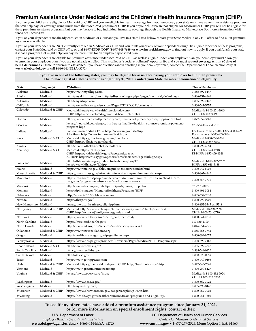## **Premium Assistance Under Medicaid and the Children's Health Insurance Program (CHIP)**

If you or your children are eligible for Medicaid or CHIP and you are eligible for health coverage from your employer, your state may have a premium assistance program that can help pay for coverage using funds from their Medicaid program or CHIP. If you or your children are not eligible for Medicaid or CHIP, you will not be eligible for these premium assistance programs, but you may be able to buy individual insurance coverage through the Health Insurance Marketplace. For more information, visit **www.healthcare.gov**.

If you or your dependents are already enrolled in Medicaid or CHIP and you live in a state listed below, contact your State Medicaid or CHIP office to find out if premium assistance is available.

If you or your dependents are NOT currently enrolled in Medicaid or CHIP, and you think you or any of your dependents might be eligible for either of these programs, contact your State Medicaid or CHIP office or dial **1-877-KIDS NOW (1-877-543-7669)** or **[www.insurekidsnow.gov](http://www.insurekidsnow.gov)** to find out how to apply. If you qualify, ask your state if it has a program that might help you pay the premiums for an employer-sponsored plan.

If you or your dependents are eligible for premium assistance under Medicaid or CHIP, as well as eligible under your employer plan, your employer must allow you to enroll in your employer plan if you are not already enrolled. This is called a "special enrollment" opportunity, and **you must request coverage within 60 days of being determined eligible for premium assistance**. If you have questions about enrolling in your employer plan, contact the Department of Labor electronically at **www.askebsa.dol.gov** or call **1-866-444-EBSA (3272)**.

#### **If you live in one of the following states, you may be eligible for assistance paying your employer health plan premiums. The following list of states is current as of January 31, 2021. Contact your State for more information on eligibility.**

| <b>State</b>           | Program(s)                  | Website(s)                                                                                                                                              | <b>Phone Number(s)</b><br>1-855-692-5447                                |
|------------------------|-----------------------------|---------------------------------------------------------------------------------------------------------------------------------------------------------|-------------------------------------------------------------------------|
| Alabama                | Medicaid<br>Medicaid        | http://www.myalhipp.com                                                                                                                                 |                                                                         |
| Alaska                 |                             | http://myakhipp.com/ and http://dhss.alaska.gov/dpa/pages/medicaid/default.aspx                                                                         | 1-866-251-4861                                                          |
| Arkansas               | Medicaid                    | http://myarhipp.com                                                                                                                                     | 1-855-692-7447                                                          |
| California<br>Colorado | Medicaid<br>Medicaid & CHIP | http://www.dhcs.ca.gov/services/Pages/TPLRD_CAU_cont.aspx                                                                                               | 1-800-541-5555                                                          |
|                        |                             | Medicaid: http://www.healthfirstcolorado.com/<br>CHIP: https://hcpf.colorado.gov/child-health-plan-plus                                                 | Medicaid: 1-800-221-3943<br>CHIP: 1-800-359-1991                        |
| Florida                | Medicaid                    | https://www.flmedicaidtplrecovery.com/flmedicaidtplrecovery.com/hipp/index.html                                                                         | 1-877-357-3268                                                          |
| Georgia                | Medicaid                    | https://medicaid.georgia.gov/third-party-liability/health-insurance-premium-payment-<br>program-hipp                                                    | 678-564-1162 ext 2131                                                   |
| Indiana                | Medicaid                    | For low-income adults 19-64: http://www.in.gov/fssa/hip<br>All others: http://www.indianamedicaid.com                                                   | For low-income adults: 1-877-438-4479<br>For all others: 1-800-403-0864 |
| Iowa                   | Medicaid & CHIP             | Medicaid: https://dhs.iowa.gov/ime/members<br>CHIP: https://dhs.iowa.gov/hawki                                                                          | Medicaid:1-800-338-8366<br>CHIP: 1-800-257-8563                         |
| Kansas                 | Medicaid                    | http://www.kdheks.gov/hcf/default.htm                                                                                                                   | 1-800-792-4884                                                          |
| Kentucky               | Medicaid & CHIP             | Medicaid: https://chfs.ky.gov<br>CHIP: https://kidshealth.ky.gov/Pages/index.aspx<br>KI-HIPP: https://chfs.ky.gov/agencies/dms/member/Pages/kihipp.aspx | CHIP: 1-877-524-4718<br>KI-HIPP: 1-855-459-6328                         |
| Louisiana              | Medicaid                    | http://dhh.louisiana.gov/index.cfm/subhome/1/n/331<br>http://www.ldh.la.gov/lahipp                                                                      | Medicaid: 1-888-342-6207<br>HIPP: 1-855-618-5488                        |
| Maine                  | Medicaid                    | http://www.maine.gov/dhhs/ofi/public-assistance/index.html                                                                                              | 1-800-442-6003                                                          |
| Massachusetts          | Medicaid & CHIP             | https://www.mass.gov/info-details/masshealth-premium-assistance-pa                                                                                      | 1-800-862-4840                                                          |
| Minnesota              | Medicaid                    | https://mn.gov/dhs/people-we-serve/children-and-families/health-care/health-care-<br>programs/programs-and-services/medical-assistance.jsp              | 1-800-657-3739                                                          |
| Missouri               | Medicaid                    | http://www.dss.mo.gov/mhd/participants/pages/hipp.htm                                                                                                   | 573-751-2005                                                            |
| Montana                | Medicaid                    | http://dphhs.mt.gov/MontanaHealthcarePrograms/HIPP                                                                                                      | 1-800-694-3084                                                          |
| Nebraska               | Medicaid                    | http://www.ACCESSNebraska.ne.gov                                                                                                                        | 1-855-632-7633                                                          |
| Nevada                 | Medicaid                    | http://dhcfp.nv.gov/                                                                                                                                    | 1-800-992-0900                                                          |
| New Hampshire          | Medicaid                    | https://www.dhhs.nh.gov/oii/hipp.htm                                                                                                                    | 1-800-852-3345 ext 5218                                                 |
| New Jersey             | Medicaid & CHIP             | Medicaid: http://www.state.nj.us/humanservices/dmahs/clients/medicaid<br>CHIP: http://www.njfamilycare.org/index.html                                   | Medicaid: 609-631-2392<br>CHIP: 1-800-701-0710                          |
| New York               | Medicaid                    | https://www.health.ny.gov/health_care/medicaid/                                                                                                         | 1-800-541-2831                                                          |
| North Carolina         | Medicaid                    | https://medicaid.ncdhhs.gov/                                                                                                                            | 919-855-4100                                                            |
| North Dakota           | Medicaid                    | http://www.nd.gov/dhs/services/medicalserv/medicaid                                                                                                     | 1-844-854-4825                                                          |
| Oklahoma               | Medicaid & CHIP             | http://www.insureoklahoma.org                                                                                                                           | 1-888-365-3742                                                          |
| Oregon                 | Medicaid                    | http://healthcare.oregon.gov/pages/index.aspx                                                                                                           | 1-800-699-9075                                                          |
| Pennsylvania           | Medicaid                    | https://www.dhs.pa.gov/providers/Providers/Pages/Medical/HIPP-Program.aspx                                                                              | 1-800-692-7462                                                          |
| Rhode Island           | Medicaid & CHIP             | http://www.eohhs.ri.gov/                                                                                                                                | 1-855-697-4347                                                          |
| South Carolina         | Medicaid                    | https://www.scdhhs.gov                                                                                                                                  | 1-888-549-0820                                                          |
| South Dakota           | Medicaid                    | http://dss.sd.gov                                                                                                                                       | 1-888-828-0059                                                          |
| Texas                  | Medicaid                    | http://www.gethipptexas.com                                                                                                                             | 1-800-440-0493                                                          |
| Utah                   | Medicaid & CHIP             | Medicaid: https://medicaid.utah.gov CHIP: http://health.utah.gov/chip                                                                                   | 1-877-543-7669                                                          |
| Vermont                | Medicaid                    | http://www.greenmountaincare.org                                                                                                                        | 1-800-250-8427                                                          |
| Virginia               | Medicaid & CHIP             | https://www.coverva.org/hipp/                                                                                                                           | Medicaid: 1-800-432-5924<br>CHIP: 1-855-242-8282                        |
| Washington             | Medicaid                    | https://www.hca.wa.gov/                                                                                                                                 | 1-800-562-3022                                                          |
| West Virginia          | Medicaid                    | http://mywvhipp.com/                                                                                                                                    | 1-855-699-8447                                                          |
| Wisconsin              | Medicaid & CHIP             | https://www.dhs.wisconsin.gov/badgercareplus/p-10095.htm                                                                                                | 1-800-362-3002                                                          |
| Wyoming                | Medicaid                    | https://health.wyo.gov/healthcarefin/medicaid/programs-and-eligibility/                                                                                 | 1-800-251-1269                                                          |
|                        |                             |                                                                                                                                                         |                                                                         |

**To see if any other states have added a premium assistance program since January 31, 2021, or for more information on special enrollment rights, contact either:**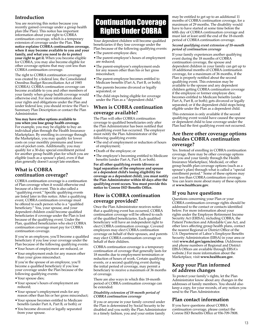## **Introduction**

You are receiving this notice because you recently gained coverage under a group health plan (the Plan). This notice has important information about your right to COBRA continuation coverage, which is a temporary extension of coverage under the Plan. **This notice explains COBRA continuation coverage, when it may become available to you and your family, and what you need to do to protect your right to get it.** When you become eligible for COBRA, you may also become eligible for other coverage options that may cost less than COBRA continuation coverage.

The right to COBRA continuation coverage was created by a federal law, the Consolidated Omnibus Budget Reconciliation Act of 1985 (COBRA). COBRA continuation coverage can become available to you and other members of your family when group health coverage would otherwise end. For more information about your rights and obligations under the Plan and under federal law, you should review the Plan's Summary Plan Description or contact the Plan Administrator.

**You may have other options available to you when you lose group health coverage.** For example, you may be eligible to buy an individual plan through the Health Insurance Marketplace. By enrolling in coverage through the Marketplace, you may qualify for lower costs on your monthly premiums and lower out-of-pocket costs. Additionally, you may qualify for a 30-day special enrollment period for another group health plan for which you are eligible (such as a spouse's plan), even if that plan generally doesn't accept late enrollees.

### **What is COBRA continuation coverage?**

COBRA continuation coverage is a continuation of Plan coverage when it would otherwise end because of a life event. This is also called a "qualifying event." Specific qualifying events are listed later in this notice. After a qualifying event, COBRA continuation coverage must be offered to each person who is a "qualified beneficiary." You, your spouse, and your dependent children could become qualified beneficiaries if coverage under the Plan is lost because of the qualifying event. Under the Plan, qualified beneficiaries who elect COBRA continuation coverage must pay for COBRA continuation coverage.

If you're an employee, you'll become a qualified beneficiary if you lose your coverage under the Plan because of the following qualifying events:

- •Your hours of employment are reduced, or
- •Your employment ends for any reason other than your gross misconduct.

If you're the spouse of an employee, you'll become a qualified beneficiary if you lose your coverage under the Plan because of the following qualifying events:

- •Your spouse dies;
- •Your spouse's hours of employment are reduced;
- •Your spouse's employment ends for any reason other than his or her gross misconduct;
- •Your spouse becomes entitled to Medicare benefits (under Part A, Part B, or both); or
- •You become divorced or legally separated from your spouse.

## Continuation Coverage Rights Under COBRA

Your dependent children will become qualified beneficiaries if they lose coverage under the Plan because of the following qualifying events:

- •The parent-employee dies;
- •The parent-employee's hours of employment are reduced;
- •The parent-employee's employment ends for any reason other than his or her gross misconduct;
- •The parent-employee becomes entitled to Medicare benefits (Part A, Part B, or both);
- •The parents become divorced or legally separated; or
- •The child stops being eligible for coverage under the Plan as a "dependent child."

## **When is COBRA continuation coverage available?**

The Plan will offer COBRA continuation coverage to qualified beneficiaries only after the Plan Administrator has been notified that a qualifying event has occurred. The employer must notify the Plan Administrator of the following qualifying events:

- •The end of employment or reduction of hours of employment;
- •Death of the employee; or
- •The employee's becoming entitled to Medicare benefits (under Part A, Part B, or both).

**For all other qualifying events (divorce or legal separation of the employee and spouse or a dependent child's losing eligibility for coverage as a dependent child), you must notify the Plan Administrator within 60 days after the qualifying event occurs. You must provide this notice to: Conroe ISD Benefits Office.** 

## **How is COBRA continuation coverage provided?**

Once the Plan Administrator receives notice that a qualifying event has occurred, COBRA continuation coverage will be offered to each of the qualified beneficiaries. Each qualified beneficiary will have an independent right to elect COBRA continuation coverage. Covered employees may elect COBRA continuation coverage on behalf of their spouses, and parents may elect COBRA continuation coverage on behalf of their children.

COBRA continuation coverage is a temporary continuation of coverage that generally lasts for 18 months due to employment termination or reduction of hours of work. Certain qualifying events, or a second qualifying event during the initial period of coverage, may permit a beneficiary to receive a maximum of 36 months of coverage.

There are also ways in which this 18-month period of COBRA continuation coverage can be extended:

#### *Disability extension of 18-month period of COBRA continuation coverage*

If you or anyone in your family covered under the Plan is determined by Social Security to be disabled and you notify the Plan Administrator in a timely fashion, you and your entire family

may be entitled to get up to an additional 11 months of COBRA continuation coverage, for a maximum of 29 months. The disability would have to have started at some time before the 60th day of COBRA continuation coverage and must last at least until the end of the 18-month period of COBRA continuation coverage.

#### *Second qualifying event extension of 18-month period of continuation coverage*

If your family experiences another qualifying event during the 18 months of COBRA continuation coverage, the spouse and dependent children in your family can get up to 18 additional months of COBRA continuation coverage, for a maximum of 36 months, if the Plan is properly notified about the second qualifying event. This extension may be available to the spouse and any dependent children getting COBRA continuation coverage if the employee or former employee dies; becomes entitled to Medicare benefits (under Part A, Part B, or both); gets divorced or legally separated; or if the dependent child stops being eligible under the Plan as a dependent child.

This extension is only available if the second qualifying event would have caused the spouse or dependent child to lose coverage under the Plan had the first qualifying event not occurred.

### **Are there other coverage options besides COBRA continuation coverage?**

Yes. Instead of enrolling in COBRA continuation coverage, there may be other coverage options for you and your family through the Health Insurance Marketplace, Medicaid, or other group health plan coverage options (such as a spouse's plan) through what is called a "special enrollment period." Some of these options may cost less than COBRA continuation coverage. You can learn more about many of these options at **[www.healthcare.gov](http://www.healthcare.gov)**.

## **If you have questions**

Questions concerning your Plan or your COBRA continuation coverage rights should be addressed to the contact or contacts identified below. For more information about your rights under the Employee Retirement Income Security Act (ERISA), including COBRA, the Patient Protection and Affordable Care Act, and other laws affecting group health plans, contact the nearest Regional or District Office of the U.S. Department of Labor's Employee Benefits Security Administration (EBSA) in your area or visit **[www.dol.gov/agencies/ebsa](http://www.dol.gov/agencies/ebsa)**. (Addresses and phone numbers of Regional and District EBSA Offices are available through EBSA's website.) For more information about the Marketplace, visit **[www.healthcare.gov](http://www.healthcare.gov)**.

## **Keep your Plan informed of address changes**

To protect your family's rights, let the Plan Administrator know about any changes in the addresses of family members. You should also keep a copy, for your records, of any notices you send to the Plan Administrator.

## **Plan contact information**

If you have questions about COBRA continuation coverage, please contact the Conroe ISD Benefits Office at 936-709-7808.